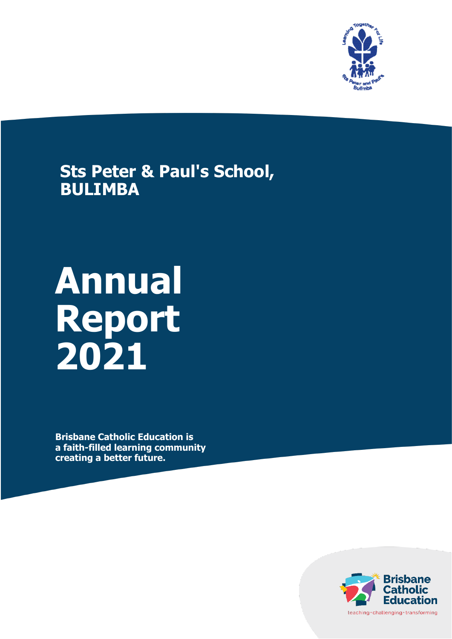

**Sts Peter & Paul's School, BULIMBA**

# **Annual Report 2021**

**Brisbane Catholic Education is a faith-filled learning community creating a better future.**

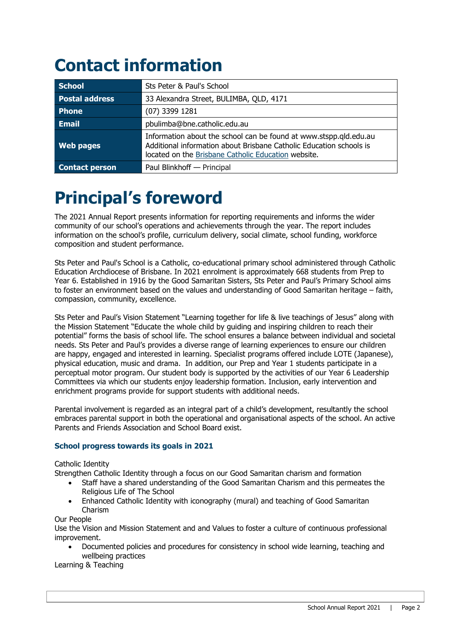# **Contact information**

| <b>School</b>         | Sts Peter & Paul's School                                                                                                                                                                       |
|-----------------------|-------------------------------------------------------------------------------------------------------------------------------------------------------------------------------------------------|
| <b>Postal address</b> | 33 Alexandra Street, BULIMBA, QLD, 4171                                                                                                                                                         |
| Phone                 | (07) 3399 1281                                                                                                                                                                                  |
| <b>Email</b>          | pbulimba@bne.catholic.edu.au                                                                                                                                                                    |
| <b>Web pages</b>      | Information about the school can be found at www.stspp.qld.edu.au<br>Additional information about Brisbane Catholic Education schools is<br>located on the Brisbane Catholic Education website. |
| <b>Contact person</b> | Paul Blinkhoff - Principal                                                                                                                                                                      |

# **Principal's foreword**

The 2021 Annual Report presents information for reporting requirements and informs the wider community of our school's operations and achievements through the year. The report includes information on the school's profile, curriculum delivery, social climate, school funding, workforce composition and student performance.

Sts Peter and Paul's School is a Catholic, co-educational primary school administered through Catholic Education Archdiocese of Brisbane. In 2021 enrolment is approximately 668 students from Prep to Year 6. Established in 1916 by the Good Samaritan Sisters, Sts Peter and Paul's Primary School aims to foster an environment based on the values and understanding of Good Samaritan heritage – faith, compassion, community, excellence.

Sts Peter and Paul's Vision Statement "Learning together for life & live teachings of Jesus" along with the Mission Statement "Educate the whole child by guiding and inspiring children to reach their potential" forms the basis of school life. The school ensures a balance between individual and societal needs. Sts Peter and Paul's provides a diverse range of learning experiences to ensure our children are happy, engaged and interested in learning. Specialist programs offered include LOTE (Japanese), physical education, music and drama. In addition, our Prep and Year 1 students participate in a perceptual motor program. Our student body is supported by the activities of our Year 6 Leadership Committees via which our students enjoy leadership formation. Inclusion, early intervention and enrichment programs provide for support students with additional needs.

Parental involvement is regarded as an integral part of a child's development, resultantly the school embraces parental support in both the operational and organisational aspects of the school. An active Parents and Friends Association and School Board exist.

#### **School progress towards its goals in 2021**

Catholic Identity

Strengthen Catholic Identity through a focus on our Good Samaritan charism and formation

- Staff have a shared understanding of the Good Samaritan Charism and this permeates the Religious Life of The School
- Enhanced Catholic Identity with iconography (mural) and teaching of Good Samaritan Charism

Our People

Use the Vision and Mission Statement and and Values to foster a culture of continuous professional improvement.

• Documented policies and procedures for consistency in school wide learning, teaching and wellbeing practices

Learning & Teaching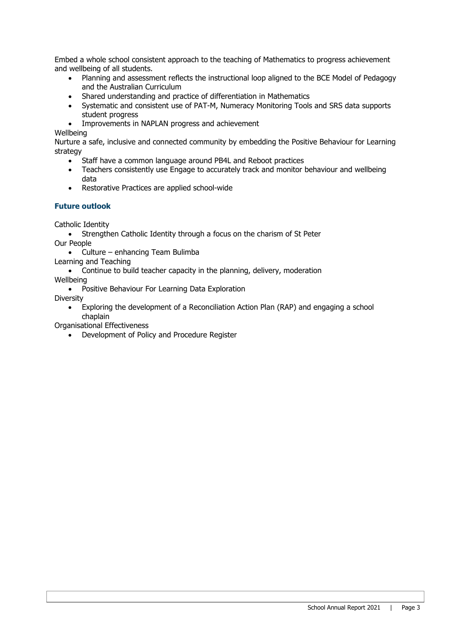Embed a whole school consistent approach to the teaching of Mathematics to progress achievement and wellbeing of all students.

- Planning and assessment reflects the instructional loop aligned to the BCE Model of Pedagogy and the Australian Curriculum
- Shared understanding and practice of differentiation in Mathematics<br>• Systematic and consistent use of PAT-M Numeracy Monitoring Tools
- Systematic and consistent use of PAT-M, Numeracy Monitoring Tools and SRS data supports student progress
- Improvements in NAPLAN progress and achievement

#### Wellbeing

Nurture a safe, inclusive and connected community by embedding the Positive Behaviour for Learning strategy

- Staff have a common language around PB4L and Reboot practices
- Teachers consistently use Engage to accurately track and monitor behaviour and wellbeing data
- Restorative Practices are applied school-wide

#### **Future outlook**

Catholic Identity

- Strengthen Catholic Identity through a focus on the charism of St Peter Our People
	- Culture enhancing Team Bulimba
- Learning and Teaching
	- Continue to build teacher capacity in the planning, delivery, moderation

Wellbeing

• Positive Behaviour For Learning Data Exploration

Diversity

• Exploring the development of a Reconciliation Action Plan (RAP) and engaging a school chaplain

Organisational Effectiveness

• Development of Policy and Procedure Register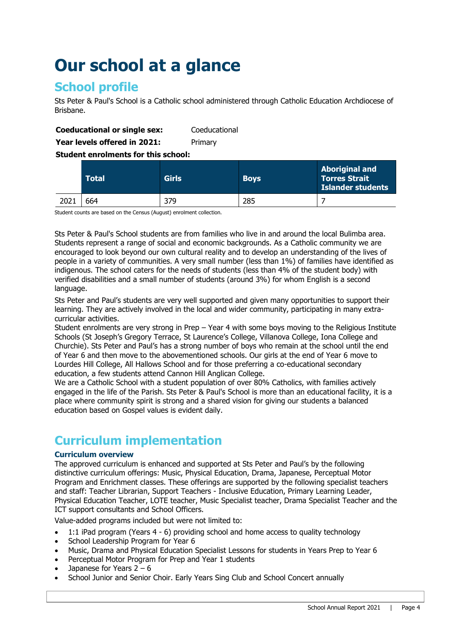# **Our school at a glance**

### **School profile**

Sts Peter & Paul's School is a Catholic school administered through Catholic Education Archdiocese of Brisbane.

| <b>Coeducational or single sex:</b> | Coeducational |
|-------------------------------------|---------------|
|-------------------------------------|---------------|

**Year levels offered in 2021:** Primary

#### **Student enrolments for this school:**

|      | <b>Total</b> | <b>Girls</b> | <b>Boys</b> | <b>Aboriginal and</b><br><b>Torres Strait</b><br>Islander students |
|------|--------------|--------------|-------------|--------------------------------------------------------------------|
| 2021 | 664          | 379          | 285         |                                                                    |

Student counts are based on the Census (August) enrolment collection.

Sts Peter & Paul's School students are from families who live in and around the local Bulimba area. Students represent a range of social and economic backgrounds. As a Catholic community we are encouraged to look beyond our own cultural reality and to develop an understanding of the lives of people in a variety of communities. A very small number (less than 1%) of families have identified as indigenous. The school caters for the needs of students (less than 4% of the student body) with verified disabilities and a small number of students (around 3%) for whom English is a second language.

Sts Peter and Paul's students are very well supported and given many opportunities to support their learning. They are actively involved in the local and wider community, participating in many extracurricular activities.

Student enrolments are very strong in Prep – Year 4 with some boys moving to the Religious Institute Schools (St Joseph's Gregory Terrace, St Laurence's College, Villanova College, Iona College and Churchie). Sts Peter and Paul's has a strong number of boys who remain at the school until the end of Year 6 and then move to the abovementioned schools. Our girls at the end of Year 6 move to Lourdes Hill College, All Hallows School and for those preferring a co-educational secondary education, a few students attend Cannon Hill Anglican College.

We are a Catholic School with a student population of over 80% Catholics, with families actively engaged in the life of the Parish. Sts Peter & Paul's School is more than an educational facility, it is a place where community spirit is strong and a shared vision for giving our students a balanced education based on Gospel values is evident daily.

# **Curriculum implementation**

#### **Curriculum overview**

The approved curriculum is enhanced and supported at Sts Peter and Paul's by the following distinctive curriculum offerings: Music, Physical Education, Drama, Japanese, Perceptual Motor Program and Enrichment classes. These offerings are supported by the following specialist teachers and staff: Teacher Librarian, Support Teachers - Inclusive Education, Primary Learning Leader, Physical Education Teacher, LOTE teacher, Music Specialist teacher, Drama Specialist Teacher and the ICT support consultants and School Officers.

Value-added programs included but were not limited to:

- 1:1 iPad program (Years 4 6) providing school and home access to quality technology
- School Leadership Program for Year 6
- Music, Drama and Physical Education Specialist Lessons for students in Years Prep to Year 6
- Perceptual Motor Program for Prep and Year 1 students
- Japanese for Years  $2 6$
- School Junior and Senior Choir. Early Years Sing Club and School Concert annually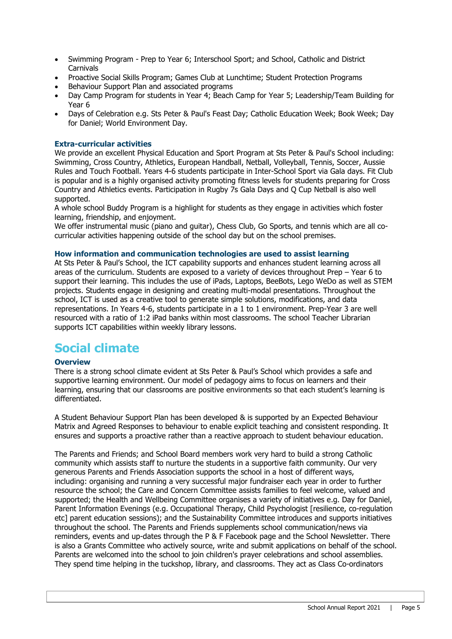- Swimming Program Prep to Year 6; Interschool Sport; and School, Catholic and District Carnivals
- Proactive Social Skills Program; Games Club at Lunchtime; Student Protection Programs
- Behaviour Support Plan and associated programs
- Day Camp Program for students in Year 4; Beach Camp for Year 5; Leadership/Team Building for Year 6
- Days of Celebration e.g. Sts Peter & Paul's Feast Day; Catholic Education Week; Book Week; Day for Daniel; World Environment Day.

#### **Extra-curricular activities**

We provide an excellent Physical Education and Sport Program at Sts Peter & Paul's School including: Swimming, Cross Country, Athletics, European Handball, Netball, Volleyball, Tennis, Soccer, Aussie Rules and Touch Football. Years 4-6 students participate in Inter-School Sport via Gala days. Fit Club is popular and is a highly organised activity promoting fitness levels for students preparing for Cross Country and Athletics events. Participation in Rugby 7s Gala Days and Q Cup Netball is also well supported.

A whole school Buddy Program is a highlight for students as they engage in activities which foster learning, friendship, and enjoyment.

We offer instrumental music (piano and quitar), Chess Club, Go Sports, and tennis which are all cocurricular activities happening outside of the school day but on the school premises.

#### **How information and communication technologies are used to assist learning**

At Sts Peter & Paul's School, the ICT capability supports and enhances student learning across all areas of the curriculum. Students are exposed to a variety of devices throughout Prep – Year 6 to support their learning. This includes the use of iPads, Laptops, BeeBots, Lego WeDo as well as STEM projects. Students engage in designing and creating multi-modal presentations. Throughout the school, ICT is used as a creative tool to generate simple solutions, modifications, and data representations. In Years 4-6, students participate in a 1 to 1 environment. Prep-Year 3 are well resourced with a ratio of 1:2 iPad banks within most classrooms. The school Teacher Librarian supports ICT capabilities within weekly library lessons.

### **Social climate**

#### **Overview**

There is a strong school climate evident at Sts Peter & Paul's School which provides a safe and supportive learning environment. Our model of pedagogy aims to focus on learners and their learning, ensuring that our classrooms are positive environments so that each student's learning is differentiated.

A Student Behaviour Support Plan has been developed & is supported by an Expected Behaviour Matrix and Agreed Responses to behaviour to enable explicit teaching and consistent responding. It ensures and supports a proactive rather than a reactive approach to student behaviour education.

The Parents and Friends; and School Board members work very hard to build a strong Catholic community which assists staff to nurture the students in a supportive faith community. Our very generous Parents and Friends Association supports the school in a host of different ways, including: organising and running a very successful major fundraiser each year in order to further resource the school; the Care and Concern Committee assists families to feel welcome, valued and supported; the Health and Wellbeing Committee organises a variety of initiatives e.g. Day for Daniel, Parent Information Evenings (e.g. Occupational Therapy, Child Psychologist [resilience, co-regulation etc] parent education sessions); and the Sustainability Committee introduces and supports initiatives throughout the school. The Parents and Friends supplements school communication/news via reminders, events and up-dates through the P & F Facebook page and the School Newsletter. There is also a Grants Committee who actively source, write and submit applications on behalf of the school. Parents are welcomed into the school to join children's prayer celebrations and school assemblies. They spend time helping in the tuckshop, library, and classrooms. They act as Class Co-ordinators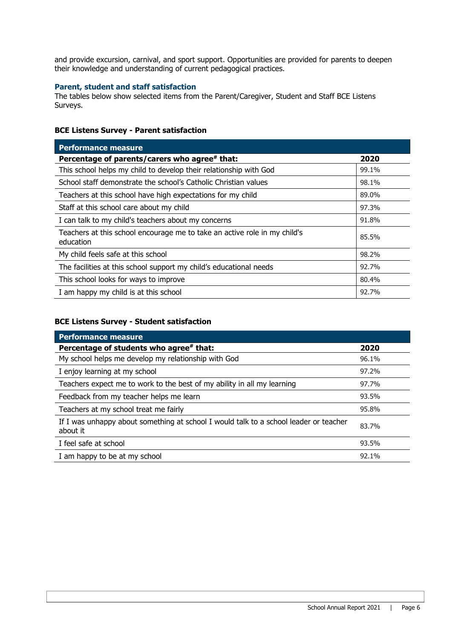and provide excursion, carnival, and sport support. Opportunities are provided for parents to deepen their knowledge and understanding of current pedagogical practices.

#### **Parent, student and staff satisfaction**

The tables below show selected items from the Parent/Caregiver, Student and Staff BCE Listens Surveys.

#### **BCE Listens Survey - Parent satisfaction**

| <b>Performance measure</b>                                                             |       |
|----------------------------------------------------------------------------------------|-------|
| Percentage of parents/carers who agree# that:                                          | 2020  |
| This school helps my child to develop their relationship with God                      | 99.1% |
| School staff demonstrate the school's Catholic Christian values                        | 98.1% |
| Teachers at this school have high expectations for my child                            | 89.0% |
| Staff at this school care about my child                                               | 97.3% |
| I can talk to my child's teachers about my concerns                                    | 91.8% |
| Teachers at this school encourage me to take an active role in my child's<br>education | 85.5% |
| My child feels safe at this school                                                     | 98.2% |
| The facilities at this school support my child's educational needs                     | 92.7% |
| This school looks for ways to improve                                                  | 80.4% |
| I am happy my child is at this school                                                  | 92.7% |

#### **BCE Listens Survey - Student satisfaction**

| <b>Performance measure</b>                                                                        |       |
|---------------------------------------------------------------------------------------------------|-------|
| Percentage of students who agree# that:                                                           | 2020  |
| My school helps me develop my relationship with God                                               | 96.1% |
| I enjoy learning at my school                                                                     | 97.2% |
| Teachers expect me to work to the best of my ability in all my learning                           | 97.7% |
| Feedback from my teacher helps me learn                                                           | 93.5% |
| Teachers at my school treat me fairly                                                             | 95.8% |
| If I was unhappy about something at school I would talk to a school leader or teacher<br>about it | 83.7% |
| I feel safe at school                                                                             | 93.5% |
| I am happy to be at my school                                                                     | 92.1% |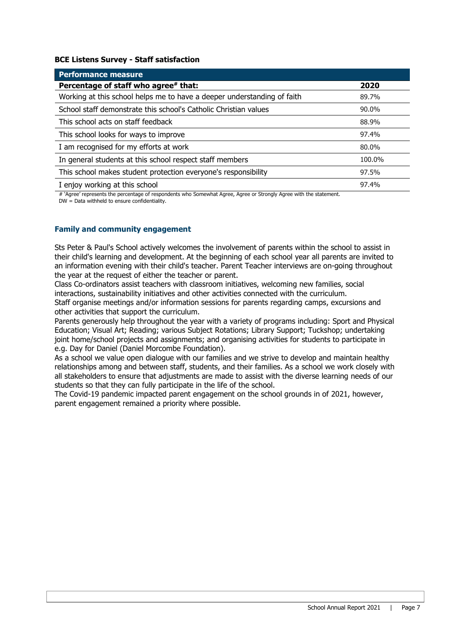#### **BCE Listens Survey - Staff satisfaction**

| <b>Performance measure</b>                                              |        |
|-------------------------------------------------------------------------|--------|
| Percentage of staff who agree# that:                                    | 2020   |
| Working at this school helps me to have a deeper understanding of faith | 89.7%  |
| School staff demonstrate this school's Catholic Christian values        | 90.0%  |
| This school acts on staff feedback                                      | 88.9%  |
| This school looks for ways to improve                                   | 97.4%  |
| I am recognised for my efforts at work                                  | 80.0%  |
| In general students at this school respect staff members                | 100.0% |
| This school makes student protection everyone's responsibility          | 97.5%  |
| I enjoy working at this school                                          | 97.4%  |

# 'Agree' represents the percentage of respondents who Somewhat Agree, Agree or Strongly Agree with the statement.

DW = Data withheld to ensure confidentiality.

#### **Family and community engagement**

Sts Peter & Paul's School actively welcomes the involvement of parents within the school to assist in their child's learning and development. At the beginning of each school year all parents are invited to an information evening with their child's teacher. Parent Teacher interviews are on-going throughout the year at the request of either the teacher or parent.

Class Co-ordinators assist teachers with classroom initiatives, welcoming new families, social interactions, sustainability initiatives and other activities connected with the curriculum.

Staff organise meetings and/or information sessions for parents regarding camps, excursions and other activities that support the curriculum.

Parents generously help throughout the year with a variety of programs including: Sport and Physical Education; Visual Art; Reading; various Subject Rotations; Library Support; Tuckshop; undertaking joint home/school projects and assignments; and organising activities for students to participate in e.g. Day for Daniel (Daniel Morcombe Foundation).

As a school we value open dialogue with our families and we strive to develop and maintain healthy relationships among and between staff, students, and their families. As a school we work closely with all stakeholders to ensure that adjustments are made to assist with the diverse learning needs of our students so that they can fully participate in the life of the school.

The Covid-19 pandemic impacted parent engagement on the school grounds in of 2021, however, parent engagement remained a priority where possible.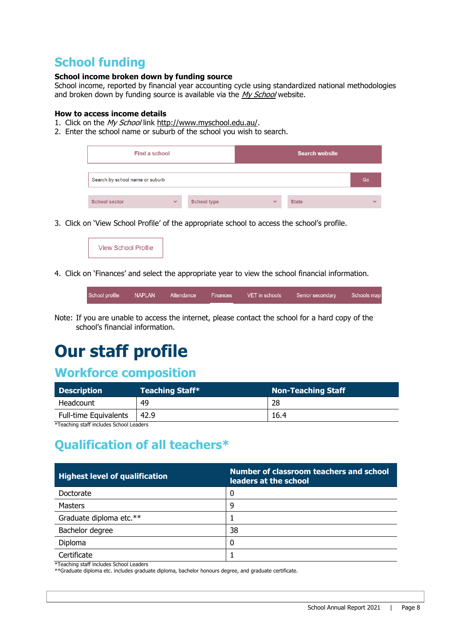# **School funding**

#### **School income broken down by funding source**

School income, reported by financial year accounting cycle using standardized national methodologies and broken down by funding source is available via the  $My School$  website.

#### **How to access income details**

- 1. Click on the My School link [http://www.myschool.edu.au/.](http://www.myschool.edu.au/)
- 2. Enter the school name or suburb of the school you wish to search.



3. Click on 'View School Profile' of the appropriate school to access the school's profile.



4. Click on 'Finances' and select the appropriate year to view the school financial information.

|  | School profile | NAPLAN <sup>'</sup> | Attendance | Finances | VET in schools | Senior secondary | Schools map |
|--|----------------|---------------------|------------|----------|----------------|------------------|-------------|
|--|----------------|---------------------|------------|----------|----------------|------------------|-------------|

Note: If you are unable to access the internet, please contact the school for a hard copy of the school's financial information.

# **Our staff profile**

### **Workforce composition**

| <b>Description</b>           | <b>Teaching Staff*</b> | <b>Non-Teaching Staff</b> |
|------------------------------|------------------------|---------------------------|
| Headcount                    | 49                     | 28                        |
| <b>Full-time Equivalents</b> | 42.9                   | 16.4                      |

\*Teaching staff includes School Leaders

 $\overline{a}$ 

### **Qualification of all teachers\***

| <b>Highest level of qualification</b> | Number of classroom teachers and school<br>leaders at the school |
|---------------------------------------|------------------------------------------------------------------|
| Doctorate                             | 0                                                                |
| <b>Masters</b>                        | 9                                                                |
| Graduate diploma etc.**               |                                                                  |
| Bachelor degree                       | 38                                                               |
| Diploma                               | 0                                                                |
| Certificate                           |                                                                  |

\*Teaching staff includes School Leaders

\*\*Graduate diploma etc. includes graduate diploma, bachelor honours degree, and graduate certificate.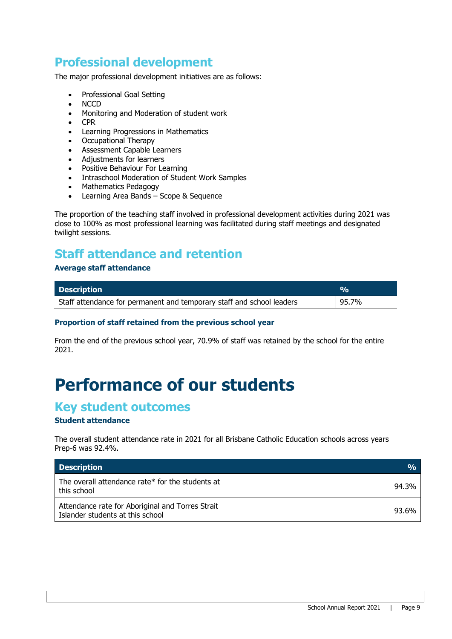# **Professional development**

The major professional development initiatives are as follows:

- Professional Goal Setting
- NCCD
- Monitoring and Moderation of student work
- CPR
- Learning Progressions in Mathematics
- Occupational Therapy
- Assessment Capable Learners
- Adjustments for learners
- Positive Behaviour For Learning
- Intraschool Moderation of Student Work Samples
- Mathematics Pedagogy
- Learning Area Bands Scope & Sequence

The proportion of the teaching staff involved in professional development activities during 2021 was close to 100% as most professional learning was facilitated during staff meetings and designated twilight sessions.

# **Staff attendance and retention**

#### **Average staff attendance**

| <b>Description</b>                                                    | $O_{\Omega}$ |
|-----------------------------------------------------------------------|--------------|
| Staff attendance for permanent and temporary staff and school leaders | 95.7%        |

#### **Proportion of staff retained from the previous school year**

From the end of the previous school year, 70.9% of staff was retained by the school for the entire 2021.

# **Performance of our students**

### **Key student outcomes**

#### **Student attendance**

The overall student attendance rate in 2021 for all Brisbane Catholic Education schools across years Prep-6 was 92.4%.

| <b>Description</b>                                                                   | $\frac{0}{0}$ |
|--------------------------------------------------------------------------------------|---------------|
| The overall attendance rate* for the students at<br>this school                      | 94.3%         |
| Attendance rate for Aboriginal and Torres Strait<br>Islander students at this school | 93.6%         |